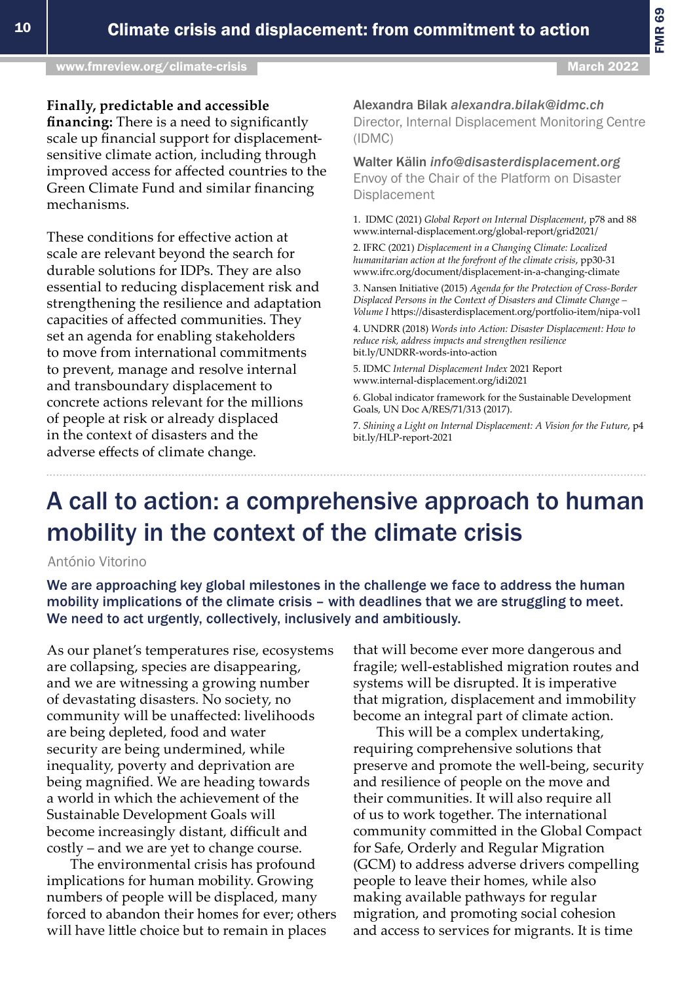# A call to action: a comprehensive approach to human mobility in the context of the climate crisis

António Vitorino

We are approaching key global milestones in the challenge we face to address the human mobility implications of the climate crisis – with deadlines that we are struggling to meet. We need to act urgently, collectively, inclusively and ambitiously.

As our planet's temperatures rise, ecosystems are collapsing, species are disappearing, and we are witnessing a growing number of devastating disasters. No society, no community will be unaffected: livelihoods are being depleted, food and water security are being undermined, while inequality, poverty and deprivation are being magnified. We are heading towards a world in which the achievement of the Sustainable Development Goals will become increasingly distant, difficult and costly – and we are yet to change course.

The environmental crisis has profound implications for human mobility. Growing numbers of people will be displaced, many forced to abandon their homes for ever; others will have little choice but to remain in places

that will become ever more dangerous and fragile; well-established migration routes and systems will be disrupted. It is imperative that migration, displacement and immobility become an integral part of climate action.

This will be a complex undertaking, requiring comprehensive solutions that preserve and promote the well-being, security and resilience of people on the move and their communities. It will also require all of us to work together. The international community committed in the Global Compact for Safe, Orderly and Regular Migration (GCM) to address adverse drivers compelling people to leave their homes, while also making available pathways for regular migration, and promoting social cohesion and access to services for migrants. It is time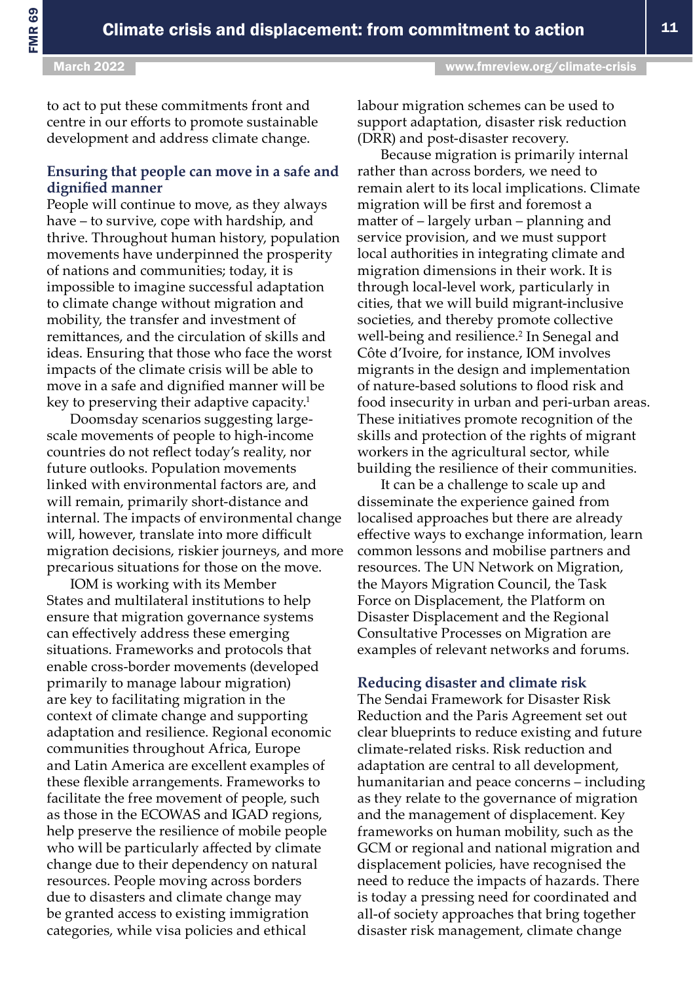to act to put these commitments front and centre in our efforts to promote sustainable development and address climate change.

## **Ensuring that people can move in a safe and dignified manner**

People will continue to move, as they always have – to survive, cope with hardship, and thrive. Throughout human history, population movements have underpinned the prosperity of nations and communities; today, it is impossible to imagine successful adaptation to climate change without migration and mobility, the transfer and investment of remittances, and the circulation of skills and ideas. Ensuring that those who face the worst impacts of the climate crisis will be able to move in a safe and dignified manner will be key to preserving their adaptive capacity.<sup>1</sup>

Doomsday scenarios suggesting largescale movements of people to high-income countries do not reflect today's reality, nor future outlooks. Population movements linked with environmental factors are, and will remain, primarily short-distance and internal. The impacts of environmental change will, however, translate into more difficult migration decisions, riskier journeys, and more precarious situations for those on the move.

IOM is working with its Member States and multilateral institutions to help ensure that migration governance systems can effectively address these emerging situations. Frameworks and protocols that enable cross-border movements (developed primarily to manage labour migration) are key to facilitating migration in the context of climate change and supporting adaptation and resilience. Regional economic communities throughout Africa, Europe and Latin America are excellent examples of these flexible arrangements. Frameworks to facilitate the free movement of people, such as those in the ECOWAS and IGAD regions, help preserve the resilience of mobile people who will be particularly affected by climate change due to their dependency on natural resources. People moving across borders due to disasters and climate change may be granted access to existing immigration categories, while visa policies and ethical

labour migration schemes can be used to support adaptation, disaster risk reduction (DRR) and post-disaster recovery.

Because migration is primarily internal rather than across borders, we need to remain alert to its local implications. Climate migration will be first and foremost a matter of – largely urban – planning and service provision, and we must support local authorities in integrating climate and migration dimensions in their work. It is through local-level work, particularly in cities, that we will build migrant-inclusive societies, and thereby promote collective well-being and resilience.<sup>2</sup> In Senegal and Côte d'Ivoire, for instance, IOM involves migrants in the design and implementation of nature-based solutions to flood risk and food insecurity in urban and peri-urban areas. These initiatives promote recognition of the skills and protection of the rights of migrant workers in the agricultural sector, while building the resilience of their communities.

It can be a challenge to scale up and disseminate the experience gained from localised approaches but there are already effective ways to exchange information, learn common lessons and mobilise partners and resources. The UN Network on Migration, the Mayors Migration Council, the Task Force on Displacement, the Platform on Disaster Displacement and the Regional Consultative Processes on Migration are examples of relevant networks and forums.

#### **Reducing disaster and climate risk**

The Sendai Framework for Disaster Risk Reduction and the Paris Agreement set out clear blueprints to reduce existing and future climate-related risks. Risk reduction and adaptation are central to all development, humanitarian and peace concerns – including as they relate to the governance of migration and the management of displacement. Key frameworks on human mobility, such as the GCM or regional and national migration and displacement policies, have recognised the need to reduce the impacts of hazards. There is today a pressing need for coordinated and all-of society approaches that bring together disaster risk management, climate change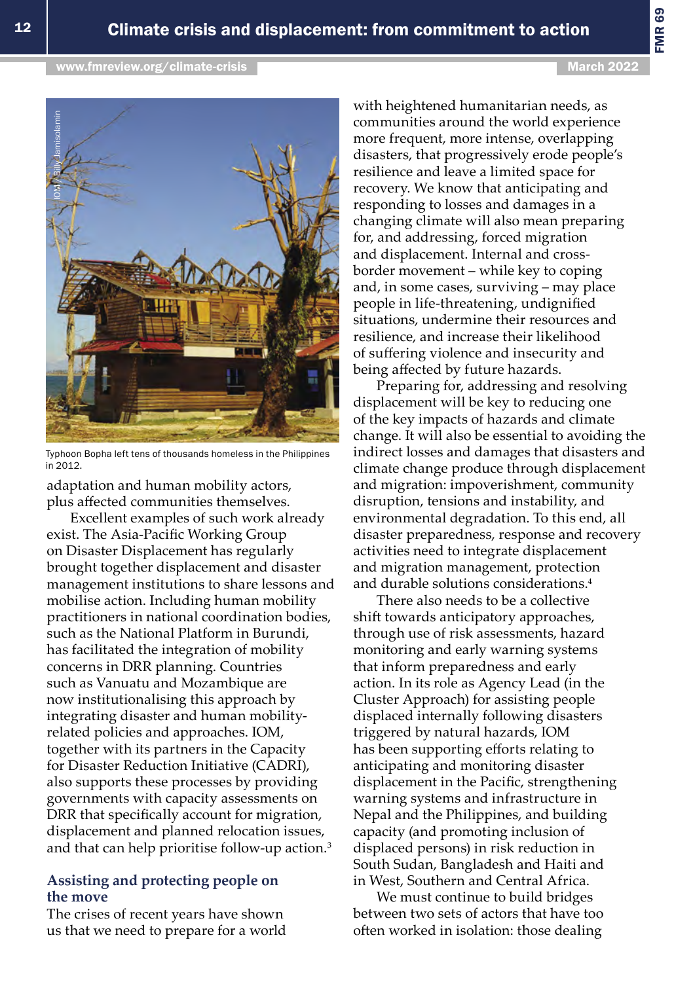[www.fmreview.org/climate-crisis](https://www.fmreview.org/climate-crisis) March 2022

FMR 69



Typhoon Bopha left tens of thousands homeless in the Philippines in 2012.

adaptation and human mobility actors, plus affected communities themselves.

Excellent examples of such work already exist. The Asia-Pacific Working Group on Disaster Displacement has regularly brought together displacement and disaster management institutions to share lessons and mobilise action. Including human mobility practitioners in national coordination bodies, such as the National Platform in Burundi, has facilitated the integration of mobility concerns in DRR planning. Countries such as Vanuatu and Mozambique are now institutionalising this approach by integrating disaster and human mobilityrelated policies and approaches. IOM, together with its partners in the Capacity for Disaster Reduction Initiative (CADRI), also supports these processes by providing governments with capacity assessments on DRR that specifically account for migration, displacement and planned relocation issues, and that can help prioritise follow-up action.<sup>3</sup>

### **Assisting and protecting people on the move**

The crises of recent years have shown us that we need to prepare for a world with heightened humanitarian needs, as communities around the world experience more frequent, more intense, overlapping disasters, that progressively erode people's resilience and leave a limited space for recovery. We know that anticipating and responding to losses and damages in a changing climate will also mean preparing for, and addressing, forced migration and displacement. Internal and crossborder movement – while key to coping and, in some cases, surviving – may place people in life-threatening, undignified situations, undermine their resources and resilience, and increase their likelihood of suffering violence and insecurity and being affected by future hazards.

Preparing for, addressing and resolving displacement will be key to reducing one of the key impacts of hazards and climate change. It will also be essential to avoiding the indirect losses and damages that disasters and climate change produce through displacement and migration: impoverishment, community disruption, tensions and instability, and environmental degradation. To this end, all disaster preparedness, response and recovery activities need to integrate displacement and migration management, protection and durable solutions considerations.<sup>4</sup>

There also needs to be a collective shift towards anticipatory approaches, through use of risk assessments, hazard monitoring and early warning systems that inform preparedness and early action. In its role as Agency Lead (in the Cluster Approach) for assisting people displaced internally following disasters triggered by natural hazards, IOM has been supporting efforts relating to anticipating and monitoring disaster displacement in the Pacific, strengthening warning systems and infrastructure in Nepal and the Philippines, and building capacity (and promoting inclusion of displaced persons) in risk reduction in South Sudan, Bangladesh and Haiti and in West, Southern and Central Africa.

We must continue to build bridges between two sets of actors that have too often worked in isolation: those dealing